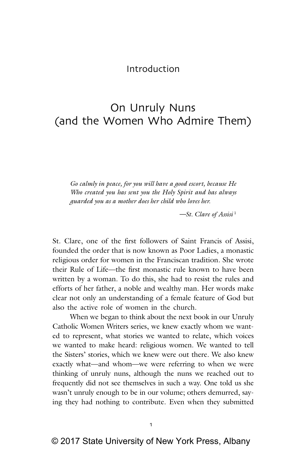# Introduction

# On Unruly Nuns (and the Women Who Admire Them)

*Go calmly in peace, for you will have a good escort, because He Who created you has sent you the Holy Spirit and has always guarded you as a mother does her child who loves her.*

*—St. Clare of Assisi* <sup>1</sup>

St. Clare, one of the first followers of Saint Francis of Assisi, founded the order that is now known as Poor Ladies, a monastic religious order for women in the Franciscan tradition. She wrote their Rule of Life—the first monastic rule known to have been written by a woman. To do this, she had to resist the rules and efforts of her father, a noble and wealthy man. Her words make clear not only an understanding of a female feature of God but also the active role of women in the church.

When we began to think about the next book in our Unruly Catholic Women Writers series, we knew exactly whom we wanted to represent, what stories we wanted to relate, which voices we wanted to make heard: religious women. We wanted to tell the Sisters' stories, which we knew were out there. We also knew exactly what—and whom—we were referring to when we were thinking of unruly nuns, although the nuns we reached out to frequently did not see themselves in such a way. One told us she wasn't unruly enough to be in our volume; others demurred, saying they had nothing to contribute. Even when they submitted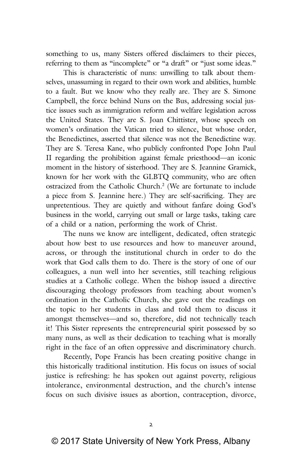something to us, many Sisters offered disclaimers to their pieces, referring to them as "incomplete" or "a draft" or "just some ideas."

This is characteristic of nuns: unwilling to talk about themselves, unassuming in regard to their own work and abilities, humble to a fault. But we know who they really are. They are S. Simone Campbell, the force behind Nuns on the Bus, addressing social justice issues such as immigration reform and welfare legislation across the United States. They are S. Joan Chittister, whose speech on women's ordination the Vatican tried to silence, but whose order, the Benedictines, asserted that silence was not the Benedictine way. They are S. Teresa Kane, who publicly confronted Pope John Paul II regarding the prohibition against female priesthood—an iconic moment in the history of sisterhood. They are S. Jeannine Gramick, known for her work with the GLBTQ community, who are often ostracized from the Catholic Church.2 (We are fortunate to include a piece from S. Jeannine here.) They are self-sacrificing. They are unpretentious. They are quietly and without fanfare doing God's business in the world, carrying out small or large tasks, taking care of a child or a nation, performing the work of Christ.

The nuns we know are intelligent, dedicated, often strategic about how best to use resources and how to maneuver around, across, or through the institutional church in order to do the work that God calls them to do. There is the story of one of our colleagues, a nun well into her seventies, still teaching religious studies at a Catholic college. When the bishop issued a directive discouraging theology professors from teaching about women's ordination in the Catholic Church, she gave out the readings on the topic to her students in class and told them to discuss it amongst themselves—and so, therefore, did not technically teach it! This Sister represents the entrepreneurial spirit possessed by so many nuns, as well as their dedication to teaching what is morally right in the face of an often oppressive and discriminatory church.

Recently, Pope Francis has been creating positive change in this historically traditional institution. His focus on issues of social justice is refreshing: he has spoken out against poverty, religious intolerance, environmental destruction, and the church's intense focus on such divisive issues as abortion, contraception, divorce,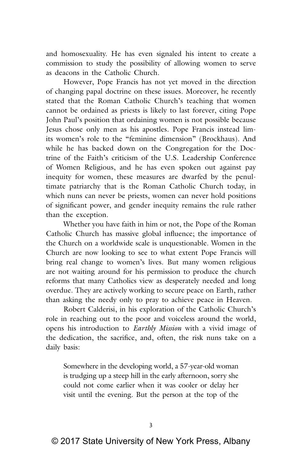and homosexuality. He has even signaled his intent to create a commission to study the possibility of allowing women to serve as deacons in the Catholic Church.

However, Pope Francis has not yet moved in the direction of changing papal doctrine on these issues. Moreover, he recently stated that the Roman Catholic Church's teaching that women cannot be ordained as priests is likely to last forever, citing Pope John Paul's position that ordaining women is not possible because Jesus chose only men as his apostles. Pope Francis instead limits women's role to the "feminine dimension" (Brockhaus). And while he has backed down on the Congregation for the Doctrine of the Faith's criticism of the U.S. Leadership Conference of Women Religious, and he has even spoken out against pay inequity for women, these measures are dwarfed by the penultimate patriarchy that is the Roman Catholic Church today, in which nuns can never be priests, women can never hold positions of significant power, and gender inequity remains the rule rather than the exception.

Whether you have faith in him or not, the Pope of the Roman Catholic Church has massive global influence; the importance of the Church on a worldwide scale is unquestionable. Women in the Church are now looking to see to what extent Pope Francis will bring real change to women's lives. But many women religious are not waiting around for his permission to produce the church reforms that many Catholics view as desperately needed and long overdue. They are actively working to secure peace on Earth, rather than asking the needy only to pray to achieve peace in Heaven.

Robert Calderisi, in his exploration of the Catholic Church's role in reaching out to the poor and voiceless around the world, opens his introduction to *Earthly Mission* with a vivid image of the dedication, the sacrifice, and, often, the risk nuns take on a daily basis:

Somewhere in the developing world, a 57-year-old woman is trudging up a steep hill in the early afternoon, sorry she could not come earlier when it was cooler or delay her visit until the evening. But the person at the top of the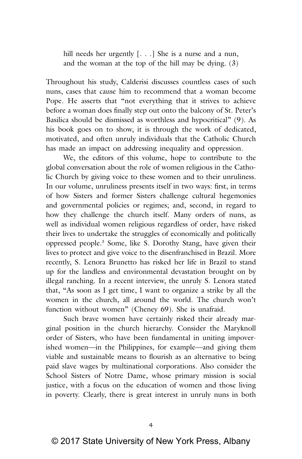hill needs her urgently [. . .] She is a nurse and a nun, and the woman at the top of the hill may be dying. (3)

Throughout his study, Calderisi discusses countless cases of such nuns, cases that cause him to recommend that a woman become Pope. He asserts that "not everything that it strives to achieve before a woman does finally step out onto the balcony of St. Peter's Basilica should be dismissed as worthless and hypocritical" (9). As his book goes on to show, it is through the work of dedicated, motivated, and often unruly individuals that the Catholic Church has made an impact on addressing inequality and oppression.

We, the editors of this volume, hope to contribute to the global conversation about the role of women religious in the Catholic Church by giving voice to these women and to their unruliness. In our volume, unruliness presents itself in two ways: first, in terms of how Sisters and former Sisters challenge cultural hegemonies and governmental policies or regimes; and, second, in regard to how they challenge the church itself. Many orders of nuns, as well as individual women religious regardless of order, have risked their lives to undertake the struggles of economically and politically oppressed people.3 Some, like S. Dorothy Stang, have given their lives to protect and give voice to the disenfranchised in Brazil. More recently, S. Lenora Brunetto has risked her life in Brazil to stand up for the landless and environmental devastation brought on by illegal ranching. In a recent interview, the unruly S. Lenora stated that, "As soon as I get time, I want to organize a strike by all the women in the church, all around the world. The church won't function without women" (Cheney 69). She is unafraid.

Such brave women have certainly risked their already marginal position in the church hierarchy. Consider the Maryknoll order of Sisters, who have been fundamental in uniting impoverished women—in the Philippines, for example—and giving them viable and sustainable means to flourish as an alternative to being paid slave wages by multinational corporations. Also consider the School Sisters of Notre Dame, whose primary mission is social justice, with a focus on the education of women and those living in poverty. Clearly, there is great interest in unruly nuns in both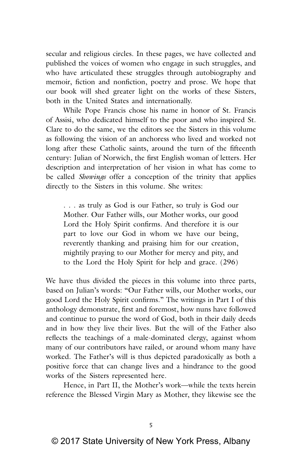secular and religious circles. In these pages, we have collected and published the voices of women who engage in such struggles, and who have articulated these struggles through autobiography and memoir, fiction and nonfiction, poetry and prose. We hope that our book will shed greater light on the works of these Sisters, both in the United States and internationally.

While Pope Francis chose his name in honor of St. Francis of Assisi, who dedicated himself to the poor and who inspired St. Clare to do the same, we the editors see the Sisters in this volume as following the vision of an anchoress who lived and worked not long after these Catholic saints, around the turn of the fifteenth century: Julian of Norwich, the first English woman of letters. Her description and interpretation of her vision in what has come to be called *Showings* offer a conception of the trinity that applies directly to the Sisters in this volume. She writes:

. . . as truly as God is our Father, so truly is God our Mother. Our Father wills, our Mother works, our good Lord the Holy Spirit confirms. And therefore it is our part to love our God in whom we have our being, reverently thanking and praising him for our creation, mightily praying to our Mother for mercy and pity, and to the Lord the Holy Spirit for help and grace. (296)

We have thus divided the pieces in this volume into three parts, based on Julian's words: "Our Father wills, our Mother works, our good Lord the Holy Spirit confirms." The writings in Part I of this anthology demonstrate, first and foremost, how nuns have followed and continue to pursue the word of God, both in their daily deeds and in how they live their lives. But the will of the Father also reflects the teachings of a male-dominated clergy, against whom many of our contributors have railed, or around whom many have worked. The Father's will is thus depicted paradoxically as both a positive force that can change lives and a hindrance to the good works of the Sisters represented here.

Hence, in Part II, the Mother's work—while the texts herein reference the Blessed Virgin Mary as Mother, they likewise see the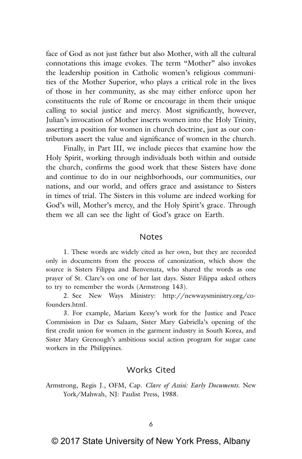face of God as not just father but also Mother, with all the cultural connotations this image evokes. The term "Mother" also invokes the leadership position in Catholic women's religious communities of the Mother Superior, who plays a critical role in the lives of those in her community, as she may either enforce upon her constituents the rule of Rome or encourage in them their unique calling to social justice and mercy. Most significantly, however, Julian's invocation of Mother inserts women into the Holy Trinity, asserting a position for women in church doctrine, just as our contributors assert the value and significance of women in the church.

Finally, in Part III, we include pieces that examine how the Holy Spirit, working through individuals both within and outside the church, confirms the good work that these Sisters have done and continue to do in our neighborhoods, our communities, our nations, and our world, and offers grace and assistance to Sisters in times of trial. The Sisters in this volume are indeed working for God's will, Mother's mercy, and the Holy Spirit's grace. Through them we all can see the light of God's grace on Earth.

#### Notes

1. These words are widely cited as her own, but they are recorded only in documents from the process of canonization, which show the source is Sisters Filippa and Benvenuta, who shared the words as one prayer of St. Clare's on one of her last days. Sister Filippa asked others to try to remember the words (Armstrong 143).

2. See New Ways Ministry: http://newwaysministry.org/cofounders.html.

3. For example, Mariam Keesy's work for the Justice and Peace Commission in Dar es Salaam, Sister Mary Gabriella's opening of the first credit union for women in the garment industry in South Korea, and Sister Mary Grenough's ambitious social action program for sugar cane workers in the Philippines.

## Works Cited

Armstrong, Regis J., OFM, Cap. *Clare of Assisi: Early Documents*. New York/Mahwah, NJ: Paulist Press, 1988.

### © 2017 State University of New York Press, Albany